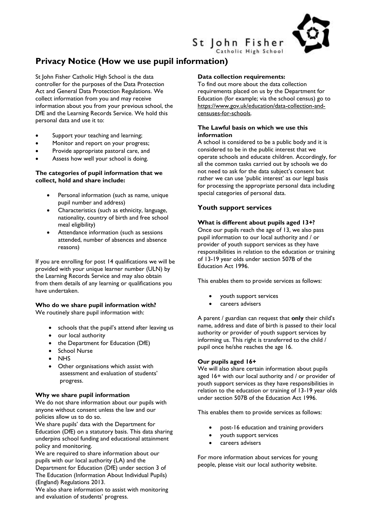

# **Privacy Notice (How we use pupil information)**

St John Fisher Catholic High School is the data controller for the purposes of the Data Protection Act and General Data Protection Regulations. We collect information from you and may receive information about you from your previous school, the DfE and the Learning Records Service. We hold this personal data and use it to:

- Support your teaching and learning;
- Monitor and report on your progress;
- Provide appropriate pastoral care, and
- Assess how well your school is doing.

#### **The categories of pupil information that we collect, hold and share include:**

- Personal information (such as name, unique pupil number and address)
- Characteristics (such as ethnicity, language, nationality, country of birth and free school meal eligibility)
- Attendance information (such as sessions attended, number of absences and absence reasons)

If you are enrolling for post 14 qualifications we will be provided with your unique learner number (ULN) by the Learning Records Service and may also obtain from them details of any learning or qualifications you have undertaken.

# **Who do we share pupil information with?**

We routinely share pupil information with:

- schools that the pupil's attend after leaving us
- our local authority
- the Department for Education (DfE)
- School Nurse
- **NHS**
- Other organisations which assist with assessment and evaluation of students' progress.

#### **Why we share pupil information**

We do not share information about our pupils with anyone without consent unless the law and our policies allow us to do so.

We share pupils' data with the Department for Education (DfE) on a statutory basis. This data sharing underpins school funding and educational attainment policy and monitoring.

We are required to share information about our pupils with our local authority (LA) and the

Department for Education (DfE) under section 3 of The Education (Information About Individual Pupils) (England) Regulations 2013.

We also share information to assist with monitoring and evaluation of students' progress.

#### **Data collection requirements:**

St John Fisher

Catholic High School

To find out more about the data collection requirements placed on us by the Department for Education (for example; via the school census) go to [https://www.gov.uk/education/data-collection-and](https://www.gov.uk/education/data-collection-and-censuses-for-schools)[censuses-for-schools.](https://www.gov.uk/education/data-collection-and-censuses-for-schools)

## **The Lawful basis on which we use this information**

A school is considered to be a public body and it is considered to be in the public interest that we operate schools and educate children. Accordingly, for all the common tasks carried out by schools we do not need to ask for the data subject's consent but rather we can use 'public interest' as our legal basis for processing the appropriate personal data including special categories of personal data.

## **Youth support services**

#### **What is different about pupils aged 13+?**

Once our pupils reach the age of 13, we also pass pupil information to our local authority and / or provider of youth support services as they have responsibilities in relation to the education or training of 13-19 year olds under section 507B of the Education Act 1996.

This enables them to provide services as follows:

- youth support services
- careers advisers

A parent / guardian can request that **only** their child's name, address and date of birth is passed to their local authority or provider of youth support services by informing us. This right is transferred to the child / pupil once he/she reaches the age 16.

#### **Our pupils aged 16+**

We will also share certain information about pupils aged 16+ with our local authority and / or provider of youth support services as they have responsibilities in relation to the education or training of 13-19 year olds under section 507B of the Education Act 1996.

This enables them to provide services as follows:

- post-16 education and training providers
- youth support services
- careers advisers

For more information about services for young people, please visit our local authority website.